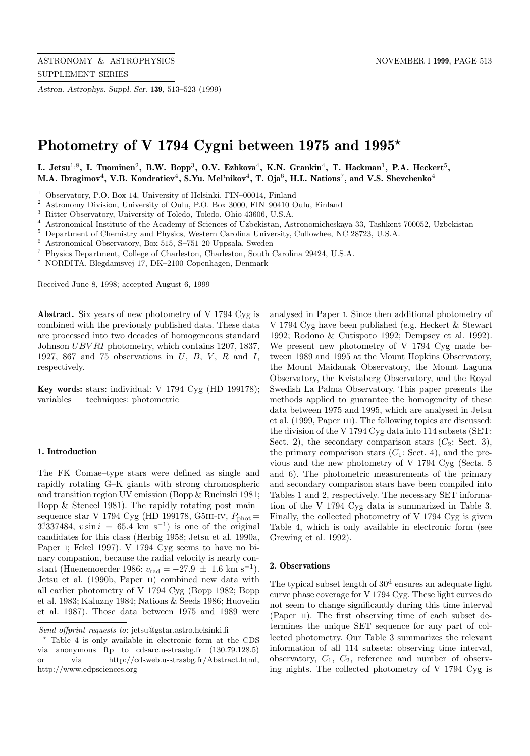*Astron. Astrophys. Suppl. Ser.* **139**, 513–523 (1999)

# **Photometry of V 1794 Cygni between 1975 and 1995***?*

**L. Jetsu**<sup>1</sup>,<sup>8</sup>**, I. Tuominen**<sup>2</sup>**, B.W. Bopp**<sup>3</sup>**, O.V. Ezhkova**<sup>4</sup>**, K.N. Grankin**<sup>4</sup>**, T. Hackman**<sup>1</sup>**, P.A. Heckert**<sup>5</sup>**, M.A. Ibragimov**<sup>4</sup>**, V.B. Kondratiev**<sup>4</sup>**, S.Yu. Mel'nikov**<sup>4</sup>**, T. Oja**<sup>6</sup>**, H.L. Nations**<sup>7</sup>**, and V.S. Shevchenko**<sup>4</sup>

- <sup>1</sup> Observatory, P.O. Box 14, University of Helsinki, FIN–00014, Finland<br> $\frac{2}{3}$  Astronomy Division, University of Ouly, B.O. Box 2000, FIN, 00410.
- <sup>2</sup> Astronomy Division, University of Oulu, P.O. Box 3000, FIN–90410 Oulu, Finland<br><sup>3</sup> Pitter Observatory, University of Teleda, Teleda, Obje 42606, U.S.A.
- <sup>3</sup> Ritter Observatory, University of Toledo, Toledo, Ohio 43606, U.S.A.<br><sup>4</sup> Astronomical Institute of the Asedemy of Sciences of Urbelsitan. As
- <sup>4</sup> Astronomical Institute of the Academy of Sciences of Uzbekistan, Astronomicheskaya 33, Tashkent 700052, Uzbekistan  $\frac{5}{2}$  Department of Chemistry and Physics Western Carolina University Cullowhee NC 28723, U.S.A.
- <sup>5</sup> Department of Chemistry and Physics, Western Carolina University, Cullowhee, NC 28723, U.S.A.<br><sup>6</sup> Actronomical Observatory, Pox 515, S. 751.30 Unnsala, Syrodon
- <sup>6</sup> Astronomical Observatory, Box 515, S–751 20 Uppsala, Sweden
- <sup>7</sup> Physics Department, College of Charleston, Charleston, South Carolina 29424, U.S.A.
- <sup>8</sup> NORDITA, Blegdamsvej 17, DK–2100 Copenhagen, Denmark

Received June 8, 1998; accepted August 6, 1999

**Abstract.** Six years of new photometry of V 1794 Cyg is combined with the previously published data. These data are processed into two decades of homogeneous standard Johnson UBV RI photometry, which contains 1207, 1837, 1927, 867 and 75 observations in  $U, B, V, R$  and  $I,$ respectively.

**Key words:** stars: individual: V 1794 Cyg (HD 199178); variables — techniques: photometric

## **1. Introduction**

The FK Comae–type stars were defined as single and rapidly rotating G–K giants with strong chromospheric and transition region UV emission (Bopp & Rucinski 1981; Bopp & Stencel 1981). The rapidly rotating post–main– sequence star V 1794 Cyg (HD 199178, G5III-IV,  $P_{\text{phot}} =$  $3^{d}337484$ ,  $v \sin i = 65.4$  km s<sup>-1</sup>) is one of the original candidates for this class (Herbig 1958; Jetsu et al. 1990a, Paper i; Fekel 1997). V 1794 Cyg seems to have no binary companion, because the radial velocity is nearly constant (Huenemoerder 1986:  $v_{\text{rad}} = -27.9 \pm 1.6 \text{ km s}^{-1}$ ). Jetsu et al. (1990b, Paper ii) combined new data with all earlier photometry of V 1794 Cyg (Bopp 1982; Bopp et al. 1983; Kaluzny 1984; Nations & Seeds 1986; Huovelin et al. 1987). Those data between 1975 and 1989 were

analysed in Paper i. Since then additional photometry of V 1794 Cyg have been published (e.g. Heckert & Stewart 1992; Rodono & Cutispoto 1992; Dempsey et al. 1992). We present new photometry of V 1794 Cyg made between 1989 and 1995 at the Mount Hopkins Observatory, the Mount Maidanak Observatory, the Mount Laguna Observatory, the Kvistaberg Observatory, and the Royal Swedish La Palma Observatory. This paper presents the methods applied to guarantee the homogeneity of these data between 1975 and 1995, which are analysed in Jetsu et al. (1999, Paper III). The following topics are discussed: the division of the V 1794 Cyg data into 114 subsets (SET: Sect. 2), the secondary comparison stars  $(C_2: \text{Sect. } 3)$ , the primary comparison stars  $(C_1: Sect. 4)$ , and the previous and the new photometry of V 1794 Cyg (Sects. 5 and 6). The photometric measurements of the primary and secondary comparison stars have been compiled into Tables 1 and 2, respectively. The necessary SET information of the V 1794 Cyg data is summarized in Table 3. Finally, the collected photometry of V 1794 Cyg is given Table 4, which is only available in electronic form (see Grewing et al. 1992).

## **2. Observations**

The typical subset length of  $30<sup>d</sup>$  ensures an adequate light curve phase coverage for V 1794 Cyg. These light curves do not seem to change significantly during this time interval (Paper II). The first observing time of each subset determines the unique SET sequence for any part of collected photometry. Our Table 3 summarizes the relevant information of all 114 subsets: observing time interval, observatory,  $C_1$ ,  $C_2$ , reference and number of observing nights. The collected photometry of V 1794 Cyg is

Send offprint requests to: jetsu@gstar.astro.helsinki.fi

<sup>?</sup> Table 4 is only available in electronic form at the CDS via anonymous ftp to cdsarc.u-strasbg.fr (130.79.128.5) or via http://cdsweb.u-strasbg.fr/Abstract.html, http://www.edpsciences.org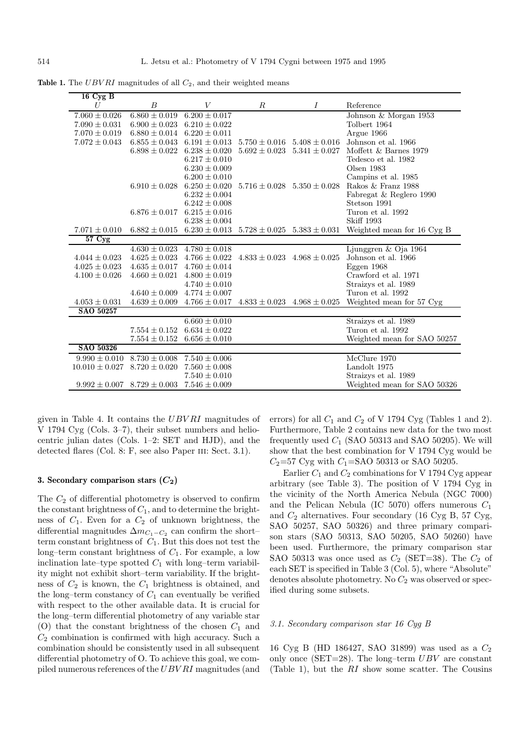| $16 \text{ Cyg B}$ |                                     |                   |                   |                                     |                             |
|--------------------|-------------------------------------|-------------------|-------------------|-------------------------------------|-----------------------------|
| U                  | B                                   | V                 | $\boldsymbol{R}$  | $\overline{I}$                      | Reference                   |
| $7.060 \pm 0.026$  | $6.860 \pm 0.019$                   | $6.200 \pm 0.017$ |                   |                                     | Johnson & Morgan 1953       |
| $7.090 \pm 0.031$  | $6.900 \pm 0.023$                   | $6.210 \pm 0.022$ |                   |                                     | Tolbert 1964                |
| $7.070 \pm 0.019$  | $6.880 \pm 0.014$                   | $6.220 \pm 0.011$ |                   |                                     | Argue 1966                  |
| $7.072 \pm 0.043$  | $6.855 \pm 0.043$                   | $6.191 \pm 0.013$ | $5.750 \pm 0.016$ | $5.408 \pm 0.016$                   | Johnson et al. 1966         |
|                    | $6.898 \pm 0.022$                   | $6.238 \pm 0.020$ | $5.692 \pm 0.023$ | $5.341 \pm 0.027$                   | Moffett & Barnes 1979       |
|                    |                                     | $6.217 \pm 0.010$ |                   |                                     | Tedesco et al. 1982         |
|                    |                                     | $6.230 \pm 0.009$ |                   |                                     | Olsen 1983                  |
|                    |                                     | $6.200 \pm 0.010$ |                   |                                     | Campins et al. 1985         |
|                    | $6.910 \pm 0.028$                   | $6.250 \pm 0.020$ |                   | $5.716 \pm 0.028$ $5.350 \pm 0.028$ | Rakos & Franz 1988          |
|                    |                                     | $6.232 \pm 0.004$ |                   |                                     | Fabregat & Reglero 1990     |
|                    |                                     | $6.242 \pm 0.008$ |                   |                                     | Stetson 1991                |
|                    | $6.876 \pm 0.017$                   | $6.215 \pm 0.016$ |                   |                                     | Turon et al. 1992           |
|                    |                                     | $6.238 \pm 0.004$ |                   |                                     | <b>Skiff 1993</b>           |
| $7.071 \pm 0.010$  | $6.882 \pm 0.015$                   | $6.230 \pm 0.013$ | $5.728 \pm 0.025$ | $5.383 \pm 0.031$                   | Weighted mean for 16 Cyg B  |
| 57 Cyg             |                                     |                   |                   |                                     |                             |
|                    | $4.630\pm0.023$                     | $4.780 \pm 0.018$ |                   |                                     | Ljunggren $&$ Oja 1964      |
| $4.044 \pm 0.023$  | $4.625 \pm 0.023$                   | $4.766 \pm 0.022$ |                   | $4.833 \pm 0.023$ $4.968 \pm 0.025$ | Johnson et al. 1966         |
| $4.025 \pm 0.023$  | $4.635 \pm 0.017$                   | $4.760 \pm 0.014$ |                   |                                     | Eggen $1968$                |
| $4.100 \pm 0.026$  | $4.660 \pm 0.021$                   | $4.800 \pm 0.019$ |                   |                                     | Crawford et al. 1971        |
|                    |                                     | $4.740 \pm 0.010$ |                   |                                     | Straizys et al. 1989        |
|                    | $4.640 \pm 0.009$                   | $4.774 \pm 0.007$ |                   |                                     | Turon et al. 1992           |
| $4.053 \pm 0.031$  | $4.639 \pm 0.009$                   | $4.766 \pm 0.017$ | $4.833 \pm 0.023$ | $4.968 \pm 0.025$                   | Weighted mean for 57 Cyg    |
| SAO 50257          |                                     |                   |                   |                                     |                             |
|                    |                                     | $6.660 \pm 0.010$ |                   |                                     | Straizys et al. 1989        |
|                    | $7.554 \pm 0.152$                   | $6.634 \pm 0.022$ |                   |                                     | Turon et al. 1992           |
|                    | $7.554 \pm 0.152$                   | $6.656 \pm 0.010$ |                   |                                     | Weighted mean for SAO 50257 |
| SAO 50326          |                                     |                   |                   |                                     |                             |
| $9.990 \pm 0.010$  | $8.730 \pm 0.008$                   | $7.540 \pm 0.006$ |                   |                                     | McClure 1970                |
| $10.010 \pm 0.027$ | $8.720 \pm 0.020$                   | $7.560 \pm 0.008$ |                   |                                     | Landolt 1975                |
|                    |                                     | $7.540 \pm 0.010$ |                   |                                     | Straizys et al. 1989        |
|                    | $9.992 \pm 0.007$ $8.729 \pm 0.003$ | $7.546 \pm 0.009$ |                   |                                     | Weighted mean for SAO 50326 |

**Table 1.** The UBVRI magnitudes of all  $C_2$ , and their weighted means

given in Table 4. It contains the UBV RI magnitudes of V 1794 Cyg (Cols. 3–7), their subset numbers and heliocentric julian dates (Cols. 1–2: SET and HJD), and the detected flares (Col. 8: F, see also Paper III: Sect. 3.1).

## **3. Secondary comparison stars**  $(C_2)$

The  $C_2$  of differential photometry is observed to confirm the constant brightness of  $C_1$ , and to determine the brightness of  $C_1$ . Even for a  $C_2$  of unknown brightness, the differential magnitudes  $\Delta m_{C_1-C_2}$  can confirm the short– term constant brightness of  $C_1$ . But this does not test the long–term constant brightness of  $C_1$ . For example, a low inclination late–type spotted  $C_1$  with long–term variability might not exhibit short–term variability. If the brightness of  $C_2$  is known, the  $C_1$  brightness is obtained, and the long–term constancy of  $C_1$  can eventually be verified with respect to the other available data. It is crucial for the long–term differential photometry of any variable star (O) that the constant brightness of the chosen  $C_1$  and  $C_2$  combination is confirmed with high accuracy. Such a combination should be consistently used in all subsequent differential photometry of O. To achieve this goal, we compiled numerous references of the UBV RI magnitudes (and errors) for all  $C_1$  and  $C_2$  of V 1794 Cyg (Tables 1 and 2). Furthermore, Table 2 contains new data for the two most frequently used  $C_1$  (SAO 50313 and SAO 50205). We will show that the best combination for V 1794 Cyg would be  $C_2$ =57 Cyg with  $C_1$ =SAO 50313 or SAO 50205.

Earlier  $C_1$  and  $C_2$  combinations for V 1794 Cyg appear arbitrary (see Table 3). The position of V 1794 Cyg in the vicinity of the North America Nebula (NGC 7000) and the Pelican Nebula (IC 5070) offers numerous  $C_1$ and  $C_2$  alternatives. Four secondary (16 Cyg B, 57 Cyg, SAO 50257, SAO 50326) and three primary comparison stars (SAO 50313, SAO 50205, SAO 50260) have been used. Furthermore, the primary comparison star SAO 50313 was once used as  $C_2$  (SET=38). The  $C_2$  of each SET is specified in Table 3 (Col. 5), where "Absolute" denotes absolute photometry. No  $C_2$  was observed or specified during some subsets.

## 3.1. Secondary comparison star 16 Cyg B

16 Cyg B (HD 186427, SAO 31899) was used as a C<sup>2</sup> only once (SET=28). The long–term  $UBV$  are constant (Table 1), but the RI show some scatter. The Cousins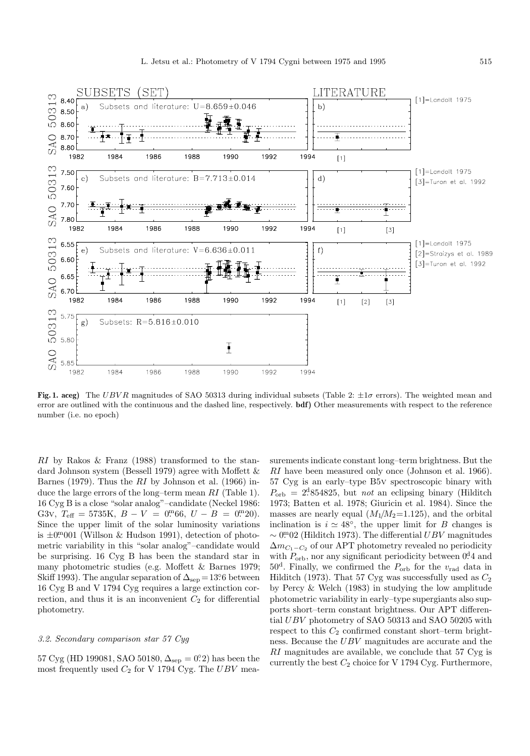

**Fig. 1. aceg)** The UBV R magnitudes of SAO 50313 during individual subsets (Table 2: ±1σ errors). The weighted mean and error are outlined with the continuous and the dashed line, respectively. **bdf**) Other measurements with respect to the reference number (i.e. no epoch)

RI by Rakos & Franz (1988) transformed to the standard Johnson system (Bessell 1979) agree with Moffett & Barnes (1979). Thus the  $RI$  by Johnson et al. (1966) induce the large errors of the long–term mean RI (Table 1). 16 Cyg B is a close "solar analog"–candidate (Neckel 1986: G3v,  $T_{\text{eff}} = 5735 \text{K}, B - V = 0^{m}66, U - B = 0^{m}20$ . Since the upper limit of the solar luminosity variations is  $\pm 0$ <sup>m</sup>001 (Willson & Hudson 1991), detection of photometric variability in this "solar analog"–candidate would be surprising. 16 Cyg B has been the standard star in many photometric studies (e.g. Moffett & Barnes 1979; Skiff 1993). The angular separation of  $\Delta_{\rm sep} = 13.6$  between 16 Cyg B and V 1794 Cyg requires a large extinction correction, and thus it is an inconvenient  $C_2$  for differential photometry.

## 3.2. Secondary comparison star 57 Cyg

 $57 \text{ Cyg (HD 199081, SAO } 50180, \Delta_{\text{sep}} = 0.22$  has been the most frequently used  $C_2$  for V 1794 Cyg. The  $UBV$  measurements indicate constant long–term brightness. But the RI have been measured only once (Johnson et al. 1966). 57 Cyg is an early–type B5v spectroscopic binary with  $P_{\rm orb} = 2^{d}854825$ , but *not* an eclipsing binary (Hilditch 1973; Batten et al. 1978; Giuricin et al. 1984). Since the masses are nearly equal  $(M_1/M_2=1.125)$ , and the orbital inclination is  $i \approx 48^\circ$ , the upper limit for B changes is  $\sim$  0<sup>m</sup>02 (Hilditch 1973). The differential UBV magnitudes  $\Delta m_{C_1-C_2}$  of our APT photometry revealed no periodicity with  $P_{\text{orb}}$ , nor any significant periodicity between  $0.44$  and  $50<sup>d</sup>$ . Finally, we confirmed the  $P_{\text{orb}}$  for the  $v_{\text{rad}}$  data in Hilditch (1973). That 57 Cyg was successfully used as  $C_2$ by Percy & Welch (1983) in studying the low amplitude photometric variability in early–type supergiants also supports short–term constant brightness. Our APT differential UBV photometry of SAO 50313 and SAO 50205 with respect to this  $C_2$  confirmed constant short–term brightness. Because the UBV magnitudes are accurate and the RI magnitudes are available, we conclude that 57 Cyg is currently the best  $C_2$  choice for V 1794 Cyg. Furthermore,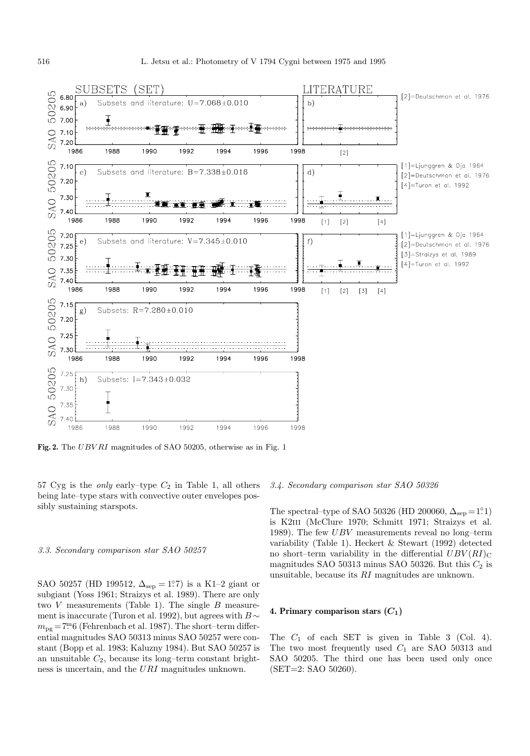

Fig. 2. The UBVRI magnitudes of SAO 50205, otherwise as in Fig. 1

57 Cyg is the *only* early–type  $C_2$  in Table 1, all others being late–type stars with convective outer envelopes possibly sustaining starspots.

## 3.3. Secondary comparison star SAO 50257

SAO 50257 (HD 199512,  $\Delta_{\rm sep} = 1.7$ ) is a K1–2 giant or subgiant (Yoss 1961; Straizys et al. 1989). There are only two  $V$  measurements (Table 1). The single  $B$  measurement is inaccurate (Turon et al. 1992), but agrees with  $B \sim$  $m_{\text{pg}} = 7\text{m}6$  (Fehrenbach et al. 1987). The short-term differential magnitudes SAO 50313 minus SAO 50257 were constant (Bopp et al. 1983; Kaluzny 1984). But SAO 50257 is an unsuitable  $C_2$ , because its long-term constant brightness is uncertain, and the URI magnitudes unknown.

## 3.4. Secondary comparison star SAO 50326

The spectral–type of SAO 50326 (HD 200060,  $\Delta_{\rm sep}=1.1$ ) is K2iii (McClure 1970; Schmitt 1971; Straizys et al. 1989). The few  $UBV$  measurements reveal no long–term variability (Table 1). Heckert & Stewart (1992) detected no short–term variability in the differential  $UBV(RI)_{\text{C}}$ magnitudes SAO 50313 minus SAO 50326. But this  $C_2$  is unsuitable, because its RI magnitudes are unknown.

# **4. Primary comparison stars**  $(C_1)$

The  $C_1$  of each SET is given in Table 3 (Col. 4). The two most frequently used  $C_1$  are SAO 50313 and SAO 50205. The third one has been used only once (SET=2: SAO 50260).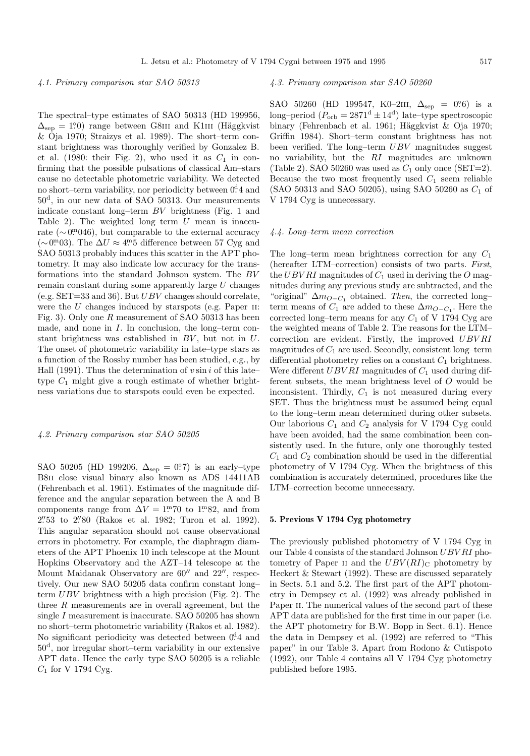## 4.1. Primary comparison star SAO 50313

The spectral–type estimates of SAO 50313 (HD 199956,  $\Delta_{\rm sep} = 1.0$  range between G8III and K1III (Häggkvist & Oja 1970; Straizys et al. 1989). The short–term constant brightness was thoroughly verified by Gonzalez B. et al. (1980: their Fig. 2), who used it as  $C_1$  in confirming that the possible pulsations of classical Am–stars cause no detectable photometric variability. We detected no short–term variability, nor periodicity between  $0<sup>d</sup>4$  and 50<sup>d</sup>, in our new data of SAO 50313. Our measurements indicate constant long–term BV brightness (Fig. 1 and Table 2). The weighted long–term  $U$  mean is inaccurate ( $\sim 0^{\text{m}}046$ ), but comparable to the external accuracy (∼0<sup>m</sup>03). The  $\Delta U \approx 4^{\text{m}}5$  difference between 57 Cyg and SAO 50313 probably induces this scatter in the APT photometry. It may also indicate low accuracy for the transformations into the standard Johnson system. The BV remain constant during some apparently large U changes (e.g. SET=33 and 36). But  $UBV$  changes should correlate, were the  $U$  changes induced by starspots (e.g. Paper II: Fig. 3). Only one R measurement of SAO 50313 has been made, and none in  $I$ . In conclusion, the long–term constant brightness was established in  $BV$ , but not in  $U$ . The onset of photometric variability in late–type stars as a function of the Rossby number has been studied, e.g., by Hall (1991). Thus the determination of  $v \sin i$  of this latetype  $C_1$  might give a rough estimate of whether brightness variations due to starspots could even be expected.

## 4.2. Primary comparison star SAO 50205

SAO 50205 (HD 199206,  $\Delta_{\text{sep}} = 0.7$ ) is an early-type B8II close visual binary also known as ADS 14411AB (Fehrenbach et al. 1961). Estimates of the magnitude difference and the angular separation between the A and B components range from  $\Delta V = 1$ <sup>m</sup>.70 to 1<sup>m</sup>.82, and from 2'53 to 2'80 (Rakos et al. 1982; Turon et al. 1992). This angular separation should not cause observational errors in photometry. For example, the diaphragm diameters of the APT Phoenix 10 inch telescope at the Mount Hopkins Observatory and the AZT–14 telescope at the Mount Maidanak Observatory are  $60''$  and  $22''$ , respectively. Our new SAO 50205 data confirm constant long– term  $UBV$  brightness with a high precision (Fig. 2). The three  $R$  measurements are in overall agreement, but the single I measurement is inaccurate. SAO 50205 has shown no short–term photometric variability (Rakos et al. 1982). No significant periodicity was detected between  $0.44$  and 50<sup>d</sup>, nor irregular short–term variability in our extensive APT data. Hence the early–type SAO 50205 is a reliable  $C_1$  for V 1794 Cyg.

## 4.3. Primary comparison star SAO 50260

SAO 50260 (HD 199547, K0–2III,  $\Delta_{\rm sep} = 0.6$ ) is a long–period  $(P_{\text{orb}} = 2871^d \pm 14^d)$  late–type spectroscopic binary (Fehrenbach et al. 1961; Häggkvist & Oja 1970; Griffin 1984). Short–term constant brightness has not been verified. The long–term UBV magnitudes suggest no variability, but the RI magnitudes are unknown (Table 2). SAO 50260 was used as  $C_1$  only once (SET=2). Because the two most frequently used  $C_1$  seem reliable (SAO 50313 and SAO 50205), using SAO 50260 as  $C_1$  of V 1794 Cyg is unnecessary.

#### 4.4. Long–term mean correction

The long–term mean brightness correction for any  $C_1$ (hereafter LTM–correction) consists of two parts. First, the UBV RI magnitudes of  $C_1$  used in deriving the O magnitudes during any previous study are subtracted, and the "original"  $\Delta m_{Q-C_1}$  obtained. Then, the corrected long– term means of  $C_1$  are added to these  $\Delta m_{O-C_1}$ . Here the corrected long–term means for any  $C_1$  of V 1794 Cyg are the weighted means of Table 2. The reasons for the LTM– correction are evident. Firstly, the improved UBVRI magnitudes of  $C_1$  are used. Secondly, consistent long–term differential photometry relies on a constant  $C_1$  brightness. Were different  $UBVRI$  magnitudes of  $C_1$  used during different subsets, the mean brightness level of O would be inconsistent. Thirdly,  $C_1$  is not measured during every SET. Thus the brightness must be assumed being equal to the long–term mean determined during other subsets. Our laborious  $C_1$  and  $C_2$  analysis for V 1794 Cyg could have been avoided, had the same combination been consistently used. In the future, only one thoroughly tested  $C_1$  and  $C_2$  combination should be used in the differential photometry of V 1794 Cyg. When the brightness of this combination is accurately determined, procedures like the LTM–correction become unnecessary.

# **5. Previous V 1794 Cyg photometry**

The previously published photometry of V 1794 Cyg in our Table 4 consists of the standard Johnson UBV RI photometry of Paper II and the  $UBV(RI)_{\text{C}}$  photometry by Heckert & Stewart (1992). These are discussed separately in Sects. 5.1 and 5.2. The first part of the APT photometry in Dempsey et al. (1992) was already published in Paper II. The numerical values of the second part of these APT data are published for the first time in our paper (i.e. the APT photometry for B.W. Bopp in Sect. 6.1). Hence the data in Dempsey et al. (1992) are referred to "This paper" in our Table 3. Apart from Rodono & Cutispoto (1992), our Table 4 contains all V 1794 Cyg photometry published before 1995.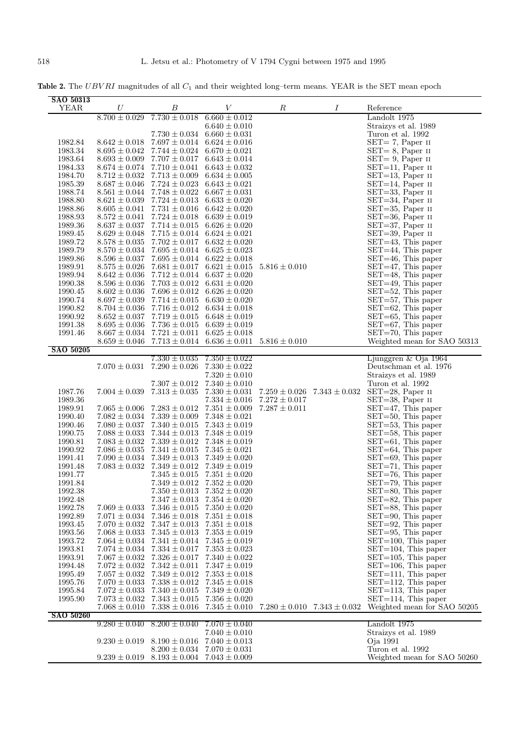Table 2. The UBVRI magnitudes of all  $C_1$  and their weighted long-term means. YEAR is the SET mean epoch

| SAO 50313          |                   |                                     |                                     |                   |                                     |                                                  |
|--------------------|-------------------|-------------------------------------|-------------------------------------|-------------------|-------------------------------------|--------------------------------------------------|
| YEAR               | U                 | В                                   | V                                   | $\boldsymbol{R}$  | Ι                                   | Reference                                        |
|                    | $8.700 \pm 0.029$ | $7.730 \pm 0.018$                   | $6.660 \pm 0.012$                   |                   |                                     | Landolt 1975                                     |
|                    |                   |                                     | $6.640 \pm 0.010$                   |                   |                                     | Straizys et al. 1989                             |
|                    |                   | $7.730 \pm 0.034$ 6.660 $\pm$ 0.031 |                                     |                   |                                     | Turon et al. 1992                                |
| 1982.84            | $8.642 \pm 0.018$ | $7.697 \pm 0.014$ 6.624 $\pm$ 0.016 |                                     |                   |                                     | $SET = 7$ , Paper II                             |
| 1983.34            | $8.695 \pm 0.042$ | $7.744 \pm 0.024$ 6.670 $\pm$ 0.021 |                                     |                   |                                     | $SET = 8$ , Paper II                             |
|                    |                   |                                     |                                     |                   |                                     |                                                  |
| 1983.64            | $8.693 \pm 0.009$ | $7.707 \pm 0.017$ 6.643 $\pm$ 0.014 |                                     |                   |                                     | $SET = 9$ , Paper II                             |
| 1984.33            | $8.674 \pm 0.074$ | $7.710 \pm 0.041$ $6.643 \pm 0.032$ |                                     |                   |                                     | $SET=11$ , Paper II                              |
| 1984.70            | $8.712 \pm 0.032$ | $7.713 \pm 0.009$ 6.634 $\pm$ 0.005 |                                     |                   |                                     | $SET=13$ , Paper II                              |
| 1985.39            | $8.687 \pm 0.046$ | $7.724 \pm 0.023$ 6.643 $\pm$ 0.021 |                                     |                   |                                     | $SET=14$ , Paper II                              |
| 1988.74            | $8.561 \pm 0.044$ | $7.748 \pm 0.022$ 6.667 $\pm$ 0.031 |                                     |                   |                                     | $SET = 33$ , Paper II                            |
| 1988.80            | $8.621 \pm 0.039$ | $7.724 \pm 0.013$ $6.633 \pm 0.020$ |                                     |                   |                                     | $SET = 34$ , Paper II                            |
| 1988.86            | $8.605 \pm 0.041$ | $7.731 \pm 0.016$ 6.642 $\pm$ 0.020 |                                     |                   |                                     | $SET = 35$ , Paper II                            |
| 1988.93            | $8.572 \pm 0.041$ | $7.724 \pm 0.018$ 6.639 $\pm$ 0.019 |                                     |                   |                                     | $SET = 36$ , Paper II                            |
| 1989.36            | $8.637 \pm 0.037$ | $7.714 \pm 0.015$ 6.626 $\pm$ 0.020 |                                     |                   |                                     | $SET = 37$ , Paper II                            |
| 1989.45            | $8.629\pm0.048$   | $7.715 \pm 0.014$ 6.624 $\pm$ 0.021 |                                     |                   |                                     | $SET = 39$ , Paper II                            |
| 1989.72            | $8.578 \pm 0.035$ | $7.702 \pm 0.017$ 6.632 $\pm$ 0.020 |                                     |                   |                                     | SET=43, This paper                               |
| 1989.79            | $8.570 \pm 0.034$ | $7.695 \pm 0.014$ $6.625 \pm 0.023$ |                                     |                   |                                     | $SET = 44$ , This paper                          |
| 1989.86            | $8.596 \pm 0.037$ |                                     | $7.695 \pm 0.014$ $6.622 \pm 0.018$ |                   |                                     | $SET = 46$ , This paper                          |
| 1989.91            | $8.575 \pm 0.026$ |                                     | $7.681 \pm 0.017$ $6.621 \pm 0.015$ | $5.816 \pm 0.010$ |                                     | $SET = 47$ , This paper                          |
| 1989.94            | $8.642 \pm 0.036$ |                                     | $7.712 \pm 0.014$ 6.637 $\pm$ 0.020 |                   |                                     | $SET = 48$ , This paper                          |
| 1990.38            | $8.596 \pm 0.036$ |                                     | $7.703 \pm 0.012$ 6.631 $\pm$ 0.020 |                   |                                     | $SET = 49$ , This paper                          |
| 1990.45            | $8.602 \pm 0.036$ |                                     | $7.696 \pm 0.012$ $6.626 \pm 0.020$ |                   |                                     | $SET = 52$ , This paper                          |
| 1990.74            | $8.697 \pm 0.039$ |                                     | $7.714 \pm 0.015$ 6.630 $\pm$ 0.020 |                   |                                     | SET=57, This paper                               |
| 1990.82            | $8.704 \pm 0.036$ |                                     | $7.716 \pm 0.012$ $6.634 \pm 0.018$ |                   |                                     | $SET=62$ , This paper                            |
| 1990.92            | $8.652 \pm 0.037$ |                                     | $7.719 \pm 0.015$ 6.648 $\pm$ 0.019 |                   |                                     | $SET = 65$ , This paper                          |
| 1991.38            | $8.695 \pm 0.036$ |                                     | $7.736 \pm 0.015$ 6.639 $\pm$ 0.019 |                   |                                     | $SET=67$ , This paper                            |
| 1991.46            | $8.667 \pm 0.034$ |                                     | $7.721 \pm 0.011$ $6.625 \pm 0.018$ |                   |                                     | $SET = 70$ , This paper                          |
|                    | $8.659 \pm 0.046$ |                                     | $7.713 \pm 0.014$ 6.636 $\pm$ 0.011 | $5.816 \pm 0.010$ |                                     | Weighted mean for SAO 50313                      |
| <b>SAO 50205</b>   |                   |                                     |                                     |                   |                                     |                                                  |
|                    |                   | $7.330 \pm 0.035$                   | $7.350 \pm 0.022$                   |                   |                                     | Ljunggren $&$ Oja 1964                           |
|                    | $7.070 \pm 0.031$ | $7.290 \pm 0.026$                   | $7.330 \pm 0.022$                   |                   |                                     | Deutschman et al. 1976                           |
|                    |                   |                                     | $7.320 \pm 0.010$                   |                   |                                     | Straizys et al. 1989                             |
|                    |                   | $7.307 \pm 0.012$                   | $7.340 \pm 0.010$                   |                   |                                     | Turon et al. 1992                                |
| 1987.76            | $7.004 \pm 0.039$ | $7.313 \pm 0.035$                   | $7.330 \pm 0.031$                   |                   | $7.259 \pm 0.026$ $7.343 \pm 0.032$ | $SET=28$ , Paper II                              |
| 1989.36            |                   |                                     | $7.334 \pm 0.016$                   | $7.272 \pm 0.017$ |                                     | $SET = 38$ , Paper II                            |
| 1989.91            | $7.065 \pm 0.006$ |                                     | $7.283 \pm 0.012$ $7.351 \pm 0.009$ | $7.287 \pm 0.011$ |                                     | $SET=47$ , This paper                            |
| 1990.40            | $7.082 \pm 0.034$ | $7.339 \pm 0.009$ $7.348 \pm 0.021$ |                                     |                   |                                     | SET=50, This paper                               |
| 1990.46            | $7.080 \pm 0.037$ | $7.340 \pm 0.015$ $7.343 \pm 0.019$ |                                     |                   |                                     | SET=53, This paper                               |
| 1990.75            | $7.088 \pm 0.033$ | $7.344 \pm 0.013$ $7.348 \pm 0.019$ |                                     |                   |                                     | $SET = 58$ , This paper                          |
|                    | $7.083 \pm 0.032$ | $7.339 \pm 0.012$ $7.348 \pm 0.019$ |                                     |                   |                                     | $SET = 61$ , This paper                          |
| 1990.81<br>1990.92 | $7.086 \pm 0.035$ | $7.341 \pm 0.015$ $7.345 \pm 0.021$ |                                     |                   |                                     |                                                  |
| 1991.41            |                   |                                     |                                     |                   |                                     | $SET = 64$ , This paper                          |
|                    | $7.090 \pm 0.034$ | $7.349 \pm 0.013 \ 7.349 \pm 0.020$ |                                     |                   |                                     | $SET=69$ , This paper<br>$SET = 71$ , This paper |
| 1991.48            | $7.083 \pm 0.032$ | $7.349 \pm 0.012$ $7.349 \pm 0.019$ |                                     |                   |                                     |                                                  |
| 1991.77            |                   | $7.345 \pm 0.015$                   | $7.351 \pm 0.020$                   |                   |                                     | $SET = 76$ , This paper                          |
| 1991.84            |                   |                                     | $7.349 \pm 0.012$ $7.352 \pm 0.020$ |                   |                                     | SET=79, This paper                               |
| 1992.38            |                   |                                     | $7.350 \pm 0.013$ $7.352 \pm 0.020$ |                   |                                     | $\operatorname{SET=80}$ .This paper              |
| 1992.48            |                   | $7.347 \pm 0.013$                   | $7.354 \pm 0.020$                   |                   |                                     | $SET = 82$ , This paper                          |
| 1992.78            | $7.069 \pm 0.033$ | $7.346 \pm 0.015$                   | $7.350 \pm 0.020$                   |                   |                                     | SET=88, This paper                               |
| 1992.89            | $7.071 \pm 0.034$ | $7.346 \pm 0.018$                   | $7.351 \pm 0.018$                   |                   |                                     | SET=90, This paper                               |
| 1993.45            | $7.070 \pm 0.032$ | $7.347 \pm 0.013$                   | $7.351 \pm 0.018$                   |                   |                                     | $SET = 92$ , This paper                          |
| 1993.56            | $7.068 \pm 0.033$ | $7.345 \pm 0.013$                   | $7.353 \pm 0.019$                   |                   |                                     | $SET = 95$ , This paper                          |
| 1993.72            | $7.064 \pm 0.034$ | $7.341 \pm 0.014$                   | $7.345 \pm 0.019$                   |                   |                                     | SET=100, This paper                              |
| 1993.81            | $7.074 \pm 0.034$ | $7.334 \pm 0.017$                   | $7.353 \pm 0.023$                   |                   |                                     | $SET = 104$ , This paper                         |
| 1993.91            | $7.067 \pm 0.032$ | $7.326 \pm 0.017$                   | $7.340 \pm 0.022$                   |                   |                                     | $SET = 105$ , This paper                         |
| 1994.48            | $7.072 \pm 0.032$ | $7.342 \pm 0.011$                   | $7.347 \pm 0.019$                   |                   |                                     | $SET = 106$ , This paper                         |
| 1995.49            | $7.057 \pm 0.032$ | $7.349 \pm 0.012$                   | $7.353 \pm 0.018$                   |                   |                                     | $SET = 111$ , This paper                         |
| 1995.76            | $7.070 \pm 0.033$ | $7.338 \pm 0.012$                   | $7.345 \pm 0.018$                   |                   |                                     | $SET = 112$ , This paper                         |
| 1995.84            | $7.072 \pm 0.033$ | $7.340 \pm 0.015$                   | $7.349 \pm 0.020$                   |                   |                                     | $SET = 113$ , This paper                         |
| 1995.90            | $7.073 \pm 0.032$ | $7.343 \pm 0.015$                   | $7.356 \pm 0.020$                   |                   |                                     | $SET = 114$ , This paper                         |
|                    | $7.068 \pm 0.010$ | $7.338 \pm 0.016$                   | $7.345 \pm 0.010$                   |                   | $7.280 \pm 0.010$ $7.343 \pm 0.032$ | Weighted mean for SAO 50205                      |
| SAO 50260          |                   |                                     |                                     |                   |                                     |                                                  |
|                    | $9.280 \pm 0.040$ | $8.200 \pm 0.040$                   | $7.070 \pm 0.040$                   |                   |                                     | Landolt 1975                                     |
|                    |                   |                                     | $7.040 \pm 0.010$                   |                   |                                     | Straizys et al. 1989                             |
|                    | $9.230 \pm 0.019$ | $8.190 \pm 0.016$ 7.040 $\pm$ 0.013 |                                     |                   |                                     | Oja 1991                                         |
|                    |                   | $8.200 \pm 0.034$                   | $7.070 \pm 0.031$                   |                   |                                     | Turon et al. 1992                                |
|                    | $9.239 \pm 0.019$ | $8.193 \pm 0.004$                   | $7.043 \pm 0.009$                   |                   |                                     | Weighted mean for SAO 50260                      |
|                    |                   |                                     |                                     |                   |                                     |                                                  |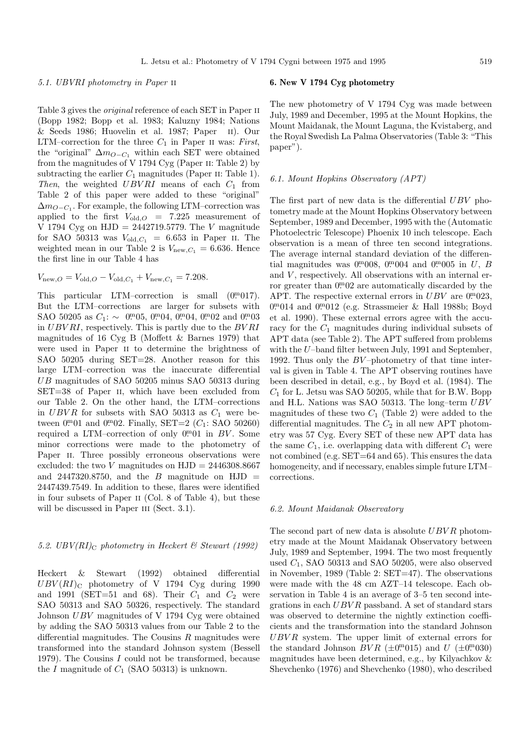## 5.1. UBVRI photometry in Paper ii

Table 3 gives the original reference of each SET in Paper ii (Bopp 1982; Bopp et al. 1983; Kaluzny 1984; Nations & Seeds 1986; Huovelin et al. 1987; Paper ii). Our LTM–correction for the three  $C_1$  in Paper II was: First, the "original"  $\Delta m_{O-C_1}$  within each SET were obtained from the magnitudes of V 1794 Cyg (Paper ii: Table 2) by subtracting the earlier  $C_1$  magnitudes (Paper II: Table 1). Then, the weighted  $UBVRI$  means of each  $C_1$  from Table 2 of this paper were added to these "original"  $\Delta m_{Q-C_1}$ . For example, the following LTM–correction was applied to the first  $V_{old,O}$  = 7.225 measurement of V 1794 Cyg on  $HJD = 2442719.5779$ . The V magnitude for SAO 50313 was  $V_{old,C_1} = 6.653$  in Paper II. The weighted mean in our Table 2 is  $V_{\text{new},C_1} = 6.636$ . Hence the first line in our Table 4 has

 $V_{\text{new},O} = V_{\text{old},O} - V_{\text{old},C_1} + V_{\text{new},C_1} = 7.208.$ 

This particular LTM-correction is small  $(0<sup>m</sup>017)$ . But the LTM–corrections are larger for subsets with SAO 50205 as  $C_1: \sim 0.00005, 0.0004, 0.0004, 0.0002$  and  $0.00003$ in UBV RI, respectively. This is partly due to the BV RI magnitudes of 16 Cyg B (Moffett & Barnes 1979) that were used in Paper ii to determine the brightness of SAO 50205 during SET=28. Another reason for this large LTM–correction was the inaccurate differential UB magnitudes of SAO 50205 minus SAO 50313 during SET=38 of Paper II, which have been excluded from our Table 2. On the other hand, the LTM–corrections in UBVR for subsets with SAO 50313 as  $C_1$  were between  $0^{m}01$  and  $0^{m}02$ . Finally, SET=2 ( $C_1$ : SAO 50260) required a LTM–correction of only  $0<sup>m</sup>01$  in BV. Some minor corrections were made to the photometry of Paper II. Three possibly erroneous observations were excluded: the two V magnitudes on  $HJD = 2446308.8667$ and 2447320.8750, and the B magnitude on  $HJD =$ 2447439.7549. In addition to these, flares were identified in four subsets of Paper ii (Col. 8 of Table 4), but these will be discussed in Paper III (Sect. 3.1).

# 5.2. UBV(RI)<sub>C</sub> photometry in Heckert & Stewart (1992)

Heckert & Stewart (1992) obtained differential  $UBV(RI)_{\text{C}}$  photometry of V 1794 Cyg during 1990 and 1991 (SET=51 and 68). Their  $C_1$  and  $C_2$  were SAO 50313 and SAO 50326, respectively. The standard Johnson UBV magnitudes of V 1794 Cyg were obtained by adding the SAO 50313 values from our Table 2 to the differential magnitudes. The Cousins  $R$  magnitudes were transformed into the standard Johnson system (Bessell 1979). The Cousins I could not be transformed, because the  $I$  magnitude of  $C_1$  (SAO 50313) is unknown.

## **6. New V 1794 Cyg photometry**

The new photometry of V 1794 Cyg was made between July, 1989 and December, 1995 at the Mount Hopkins, the Mount Maidanak, the Mount Laguna, the Kvistaberg, and the Royal Swedish La Palma Observatories (Table 3: "This paper").

## 6.1. Mount Hopkins Observatory (APT)

The first part of new data is the differential  $UBV$  photometry made at the Mount Hopkins Observatory between September, 1989 and December, 1995 with the (Automatic Photoelectric Telescope) Phoenix 10 inch telescope. Each observation is a mean of three ten second integrations. The average internal standard deviation of the differential magnitudes was  $0^{m}008$ ,  $0^{m}004$  and  $0^{m}005$  in U, B and  $V$ , respectively. All observations with an internal error greater than  $0.02$  are automatically discarded by the APT. The respective external errors in  $UBV$  are  $0.023$ , 0. 0. 014 and 0. 0. 012 (e.g. Strassmeier & Hall 1988b; Boyd et al. 1990). These external errors agree with the accuracy for the  $C_1$  magnitudes during individual subsets of APT data (see Table 2). The APT suffered from problems with the U–band filter between July, 1991 and September, 1992. Thus only the  $BV$ -photometry of that time interval is given in Table 4. The APT observing routines have been described in detail, e.g., by Boyd et al. (1984). The  $C_1$  for L. Jetsu was SAO 50205, while that for B.W. Bopp and H.L. Nations was SAO 50313. The long–term UBV magnitudes of these two  $C_1$  (Table 2) were added to the differential magnitudes. The  $C_2$  in all new APT photometry was 57 Cyg. Every SET of these new APT data has the same  $C_1$ , i.e. overlapping data with different  $C_1$  were not combined (e.g. SET=64 and 65). This ensures the data homogeneity, and if necessary, enables simple future LTM– corrections.

## 6.2. Mount Maidanak Observatory

The second part of new data is absolute  $UBVR$  photometry made at the Mount Maidanak Observatory between July, 1989 and September, 1994. The two most frequently used  $C_1$ , SAO 50313 and SAO 50205, were also observed in November, 1989 (Table 2: SET=47). The observations were made with the 48 cm AZT–14 telescope. Each observation in Table 4 is an average of 3–5 ten second integrations in each  $UBVR$  passband. A set of standard stars was observed to determine the nightly extinction coefficients and the transformation into the standard Johnson UBV R system. The upper limit of external errors for the standard Johnson  $BVR$  ( $\pm 0^{\text{m}}015$ ) and  $U$  ( $\pm 0^{\text{m}}030$ ) magnitudes have been determined, e.g., by Kilyachkov & Shevchenko (1976) and Shevchenko (1980), who described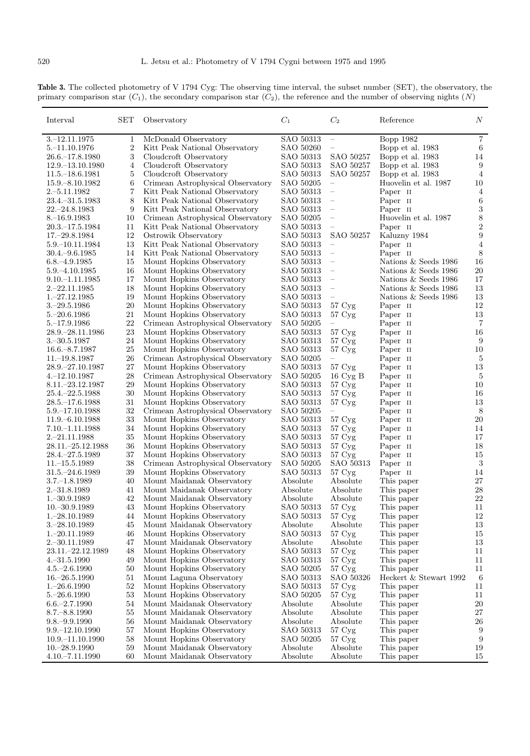**Table 3.** The collected photometry of V 1794 Cyg: The observing time interval, the subset number (SET), the observatory, the primary comparison star  $(C_1)$ , the secondary comparison star  $(C_2)$ , the reference and the number of observing nights  $(N)$ 

| $\overline{7}$<br>$3, -12, 11, 1975$<br>McDonald Observatory<br>SAO 50313<br><b>Bopp 1982</b><br>1<br>$\overline{\phantom{m}}$<br>2<br>Kitt Peak National Observatory<br>Bopp et al. 1983<br>$5 - 11.10.1976$<br>SAO 50260<br>6<br>3<br>26.6. - 17.8.1980<br>Cloudcroft Observatory<br>SAO 50313<br>SAO 50257<br>14<br>Bopp et al. 1983<br>4<br>Cloudcroft Observatory<br>SAO 50313<br>SAO 50257<br>Bopp et al. 1983<br>9<br>12.9. - 13.10.1980<br>$\overline{4}$<br>Cloudcroft Observatory<br>SAO 50313<br>SAO 50257<br>$11.5 - 18.6.1981$<br>5<br>Bopp et al. 1983<br>6<br>Crimean Astrophysical Observatory<br>SAO 50205<br>10<br>$15.9 - 8.10.1982$<br>Huovelin et al. 1987<br>$\overline{\phantom{m}}$<br>7<br>$2.-5.11.1982$<br>Kitt Peak National Observatory<br>SAO 50313<br>Paper II<br>$\overline{4}$<br>$\overline{\phantom{m}}$<br>8<br>23.4. - 31.5.1983<br>Kitt Peak National Observatory<br>SAO 50313<br>Paper II<br>6<br>$\overline{\phantom{0}}$<br>3<br>9<br>Kitt Peak National Observatory<br>SAO 50313<br>Paper II<br>22.–24.8.1983<br>$\qquad \qquad -$<br>8<br>Huovelin et al. 1987<br>$8 - 16.9.1983$<br>10<br>Crimean Astrophysical Observatory<br>SAO 50205<br>$\overline{\phantom{0}}$<br>$\boldsymbol{2}$<br>11<br>Kitt Peak National Observatory<br>SAO 50313<br>Paper II<br>20.3.–17.5.1984<br>9<br>12<br>SAO 50313<br>SAO 50257<br>Kaluzny 1984<br>$17 - 29.8.1984$<br>Ostrowik Observatory<br>$5.9 - 10.11.1984$<br>13<br>Kitt Peak National Observatory<br>SAO 50313<br>Paper II<br>4<br>$\overline{\phantom{m}}$<br>8<br>14<br>Kitt Peak National Observatory<br>SAO 50313<br>Paper II<br>$30.4 - 9.6.1985$<br>Mount Hopkins Observatory<br>SAO 50313<br>Nations & Seeds 1986<br>16<br>$6.8 - 4.9.1985$<br>15<br>$\overline{\phantom{m}}$<br>20<br>Mount Hopkins Observatory<br>Nations & Seeds 1986<br>5.9. $-4.10.1985$<br>16<br>SAO 50313<br>17<br>Mount Hopkins Observatory<br>SAO 50313<br>Nations & Seeds 1986<br>17<br>$9.10 - 1.11.1985$<br>18<br>Mount Hopkins Observatory<br>SAO 50313<br>Nations & Seeds 1986<br>13<br>2.–22.11.1985<br>$\overline{\phantom{m}}$<br>$1, -27.12.1985$<br>19<br>Mount Hopkins Observatory<br>SAO 50313<br>Nations & Seeds 1986<br>13<br>-<br>12<br>$3 - 29.5.1986$<br>20<br>Mount Hopkins Observatory<br>SAO 50313<br>Paper II<br>$57 \,\mathrm{Cyg}$<br>21<br>Mount Hopkins Observatory<br>SAO 50313<br>Paper II<br>13<br>$5 - 20.6.1986$<br>$57 \,\mathrm{Cyg}$<br>22<br>Crimean Astrophysical Observatory<br>SAO 50205<br>Paper II<br>7<br>$5 - 17.9.1986$<br>$\qquad \qquad -$<br>23<br>Mount Hopkins Observatory<br>SAO 50313<br>Paper II<br>16<br>28.9.–28.11.1986<br>$57 \,\mathrm{Cyg}$<br>$3.-30.5.1987$<br>24<br>Mount Hopkins Observatory<br>SAO 50313<br>57 Cyg<br>Paper II<br>9<br>25<br>Mount Hopkins Observatory<br>SAO 50313<br>57 Cyg<br>Paper II<br>10<br>$16.6 - 8.7.1987$ |
|-------------------------------------------------------------------------------------------------------------------------------------------------------------------------------------------------------------------------------------------------------------------------------------------------------------------------------------------------------------------------------------------------------------------------------------------------------------------------------------------------------------------------------------------------------------------------------------------------------------------------------------------------------------------------------------------------------------------------------------------------------------------------------------------------------------------------------------------------------------------------------------------------------------------------------------------------------------------------------------------------------------------------------------------------------------------------------------------------------------------------------------------------------------------------------------------------------------------------------------------------------------------------------------------------------------------------------------------------------------------------------------------------------------------------------------------------------------------------------------------------------------------------------------------------------------------------------------------------------------------------------------------------------------------------------------------------------------------------------------------------------------------------------------------------------------------------------------------------------------------------------------------------------------------------------------------------------------------------------------------------------------------------------------------------------------------------------------------------------------------------------------------------------------------------------------------------------------------------------------------------------------------------------------------------------------------------------------------------------------------------------------------------------------------------------------------------------------------------------------------------------------------------------------------------------------------------------------------------------------------------------------------------------------------------------------------------------------------------------------------------------------------------------------------------------------------------------------------------------------------------|
|                                                                                                                                                                                                                                                                                                                                                                                                                                                                                                                                                                                                                                                                                                                                                                                                                                                                                                                                                                                                                                                                                                                                                                                                                                                                                                                                                                                                                                                                                                                                                                                                                                                                                                                                                                                                                                                                                                                                                                                                                                                                                                                                                                                                                                                                                                                                                                                                                                                                                                                                                                                                                                                                                                                                                                                                                                                                         |
|                                                                                                                                                                                                                                                                                                                                                                                                                                                                                                                                                                                                                                                                                                                                                                                                                                                                                                                                                                                                                                                                                                                                                                                                                                                                                                                                                                                                                                                                                                                                                                                                                                                                                                                                                                                                                                                                                                                                                                                                                                                                                                                                                                                                                                                                                                                                                                                                                                                                                                                                                                                                                                                                                                                                                                                                                                                                         |
|                                                                                                                                                                                                                                                                                                                                                                                                                                                                                                                                                                                                                                                                                                                                                                                                                                                                                                                                                                                                                                                                                                                                                                                                                                                                                                                                                                                                                                                                                                                                                                                                                                                                                                                                                                                                                                                                                                                                                                                                                                                                                                                                                                                                                                                                                                                                                                                                                                                                                                                                                                                                                                                                                                                                                                                                                                                                         |
|                                                                                                                                                                                                                                                                                                                                                                                                                                                                                                                                                                                                                                                                                                                                                                                                                                                                                                                                                                                                                                                                                                                                                                                                                                                                                                                                                                                                                                                                                                                                                                                                                                                                                                                                                                                                                                                                                                                                                                                                                                                                                                                                                                                                                                                                                                                                                                                                                                                                                                                                                                                                                                                                                                                                                                                                                                                                         |
|                                                                                                                                                                                                                                                                                                                                                                                                                                                                                                                                                                                                                                                                                                                                                                                                                                                                                                                                                                                                                                                                                                                                                                                                                                                                                                                                                                                                                                                                                                                                                                                                                                                                                                                                                                                                                                                                                                                                                                                                                                                                                                                                                                                                                                                                                                                                                                                                                                                                                                                                                                                                                                                                                                                                                                                                                                                                         |
|                                                                                                                                                                                                                                                                                                                                                                                                                                                                                                                                                                                                                                                                                                                                                                                                                                                                                                                                                                                                                                                                                                                                                                                                                                                                                                                                                                                                                                                                                                                                                                                                                                                                                                                                                                                                                                                                                                                                                                                                                                                                                                                                                                                                                                                                                                                                                                                                                                                                                                                                                                                                                                                                                                                                                                                                                                                                         |
|                                                                                                                                                                                                                                                                                                                                                                                                                                                                                                                                                                                                                                                                                                                                                                                                                                                                                                                                                                                                                                                                                                                                                                                                                                                                                                                                                                                                                                                                                                                                                                                                                                                                                                                                                                                                                                                                                                                                                                                                                                                                                                                                                                                                                                                                                                                                                                                                                                                                                                                                                                                                                                                                                                                                                                                                                                                                         |
|                                                                                                                                                                                                                                                                                                                                                                                                                                                                                                                                                                                                                                                                                                                                                                                                                                                                                                                                                                                                                                                                                                                                                                                                                                                                                                                                                                                                                                                                                                                                                                                                                                                                                                                                                                                                                                                                                                                                                                                                                                                                                                                                                                                                                                                                                                                                                                                                                                                                                                                                                                                                                                                                                                                                                                                                                                                                         |
|                                                                                                                                                                                                                                                                                                                                                                                                                                                                                                                                                                                                                                                                                                                                                                                                                                                                                                                                                                                                                                                                                                                                                                                                                                                                                                                                                                                                                                                                                                                                                                                                                                                                                                                                                                                                                                                                                                                                                                                                                                                                                                                                                                                                                                                                                                                                                                                                                                                                                                                                                                                                                                                                                                                                                                                                                                                                         |
|                                                                                                                                                                                                                                                                                                                                                                                                                                                                                                                                                                                                                                                                                                                                                                                                                                                                                                                                                                                                                                                                                                                                                                                                                                                                                                                                                                                                                                                                                                                                                                                                                                                                                                                                                                                                                                                                                                                                                                                                                                                                                                                                                                                                                                                                                                                                                                                                                                                                                                                                                                                                                                                                                                                                                                                                                                                                         |
|                                                                                                                                                                                                                                                                                                                                                                                                                                                                                                                                                                                                                                                                                                                                                                                                                                                                                                                                                                                                                                                                                                                                                                                                                                                                                                                                                                                                                                                                                                                                                                                                                                                                                                                                                                                                                                                                                                                                                                                                                                                                                                                                                                                                                                                                                                                                                                                                                                                                                                                                                                                                                                                                                                                                                                                                                                                                         |
|                                                                                                                                                                                                                                                                                                                                                                                                                                                                                                                                                                                                                                                                                                                                                                                                                                                                                                                                                                                                                                                                                                                                                                                                                                                                                                                                                                                                                                                                                                                                                                                                                                                                                                                                                                                                                                                                                                                                                                                                                                                                                                                                                                                                                                                                                                                                                                                                                                                                                                                                                                                                                                                                                                                                                                                                                                                                         |
|                                                                                                                                                                                                                                                                                                                                                                                                                                                                                                                                                                                                                                                                                                                                                                                                                                                                                                                                                                                                                                                                                                                                                                                                                                                                                                                                                                                                                                                                                                                                                                                                                                                                                                                                                                                                                                                                                                                                                                                                                                                                                                                                                                                                                                                                                                                                                                                                                                                                                                                                                                                                                                                                                                                                                                                                                                                                         |
|                                                                                                                                                                                                                                                                                                                                                                                                                                                                                                                                                                                                                                                                                                                                                                                                                                                                                                                                                                                                                                                                                                                                                                                                                                                                                                                                                                                                                                                                                                                                                                                                                                                                                                                                                                                                                                                                                                                                                                                                                                                                                                                                                                                                                                                                                                                                                                                                                                                                                                                                                                                                                                                                                                                                                                                                                                                                         |
|                                                                                                                                                                                                                                                                                                                                                                                                                                                                                                                                                                                                                                                                                                                                                                                                                                                                                                                                                                                                                                                                                                                                                                                                                                                                                                                                                                                                                                                                                                                                                                                                                                                                                                                                                                                                                                                                                                                                                                                                                                                                                                                                                                                                                                                                                                                                                                                                                                                                                                                                                                                                                                                                                                                                                                                                                                                                         |
|                                                                                                                                                                                                                                                                                                                                                                                                                                                                                                                                                                                                                                                                                                                                                                                                                                                                                                                                                                                                                                                                                                                                                                                                                                                                                                                                                                                                                                                                                                                                                                                                                                                                                                                                                                                                                                                                                                                                                                                                                                                                                                                                                                                                                                                                                                                                                                                                                                                                                                                                                                                                                                                                                                                                                                                                                                                                         |
|                                                                                                                                                                                                                                                                                                                                                                                                                                                                                                                                                                                                                                                                                                                                                                                                                                                                                                                                                                                                                                                                                                                                                                                                                                                                                                                                                                                                                                                                                                                                                                                                                                                                                                                                                                                                                                                                                                                                                                                                                                                                                                                                                                                                                                                                                                                                                                                                                                                                                                                                                                                                                                                                                                                                                                                                                                                                         |
|                                                                                                                                                                                                                                                                                                                                                                                                                                                                                                                                                                                                                                                                                                                                                                                                                                                                                                                                                                                                                                                                                                                                                                                                                                                                                                                                                                                                                                                                                                                                                                                                                                                                                                                                                                                                                                                                                                                                                                                                                                                                                                                                                                                                                                                                                                                                                                                                                                                                                                                                                                                                                                                                                                                                                                                                                                                                         |
|                                                                                                                                                                                                                                                                                                                                                                                                                                                                                                                                                                                                                                                                                                                                                                                                                                                                                                                                                                                                                                                                                                                                                                                                                                                                                                                                                                                                                                                                                                                                                                                                                                                                                                                                                                                                                                                                                                                                                                                                                                                                                                                                                                                                                                                                                                                                                                                                                                                                                                                                                                                                                                                                                                                                                                                                                                                                         |
|                                                                                                                                                                                                                                                                                                                                                                                                                                                                                                                                                                                                                                                                                                                                                                                                                                                                                                                                                                                                                                                                                                                                                                                                                                                                                                                                                                                                                                                                                                                                                                                                                                                                                                                                                                                                                                                                                                                                                                                                                                                                                                                                                                                                                                                                                                                                                                                                                                                                                                                                                                                                                                                                                                                                                                                                                                                                         |
|                                                                                                                                                                                                                                                                                                                                                                                                                                                                                                                                                                                                                                                                                                                                                                                                                                                                                                                                                                                                                                                                                                                                                                                                                                                                                                                                                                                                                                                                                                                                                                                                                                                                                                                                                                                                                                                                                                                                                                                                                                                                                                                                                                                                                                                                                                                                                                                                                                                                                                                                                                                                                                                                                                                                                                                                                                                                         |
|                                                                                                                                                                                                                                                                                                                                                                                                                                                                                                                                                                                                                                                                                                                                                                                                                                                                                                                                                                                                                                                                                                                                                                                                                                                                                                                                                                                                                                                                                                                                                                                                                                                                                                                                                                                                                                                                                                                                                                                                                                                                                                                                                                                                                                                                                                                                                                                                                                                                                                                                                                                                                                                                                                                                                                                                                                                                         |
|                                                                                                                                                                                                                                                                                                                                                                                                                                                                                                                                                                                                                                                                                                                                                                                                                                                                                                                                                                                                                                                                                                                                                                                                                                                                                                                                                                                                                                                                                                                                                                                                                                                                                                                                                                                                                                                                                                                                                                                                                                                                                                                                                                                                                                                                                                                                                                                                                                                                                                                                                                                                                                                                                                                                                                                                                                                                         |
|                                                                                                                                                                                                                                                                                                                                                                                                                                                                                                                                                                                                                                                                                                                                                                                                                                                                                                                                                                                                                                                                                                                                                                                                                                                                                                                                                                                                                                                                                                                                                                                                                                                                                                                                                                                                                                                                                                                                                                                                                                                                                                                                                                                                                                                                                                                                                                                                                                                                                                                                                                                                                                                                                                                                                                                                                                                                         |
| $11 - 19.8.1987$<br>26<br>Crimean Astrophysical Observatory<br>SAO 50205<br>Paper II<br>$\overline{5}$<br>$\equiv$                                                                                                                                                                                                                                                                                                                                                                                                                                                                                                                                                                                                                                                                                                                                                                                                                                                                                                                                                                                                                                                                                                                                                                                                                                                                                                                                                                                                                                                                                                                                                                                                                                                                                                                                                                                                                                                                                                                                                                                                                                                                                                                                                                                                                                                                                                                                                                                                                                                                                                                                                                                                                                                                                                                                                      |
| 13<br>28.9. - 27.10.1987<br>27<br>Mount Hopkins Observatory<br>SAO 50313<br>57 Cyg<br>Paper II                                                                                                                                                                                                                                                                                                                                                                                                                                                                                                                                                                                                                                                                                                                                                                                                                                                                                                                                                                                                                                                                                                                                                                                                                                                                                                                                                                                                                                                                                                                                                                                                                                                                                                                                                                                                                                                                                                                                                                                                                                                                                                                                                                                                                                                                                                                                                                                                                                                                                                                                                                                                                                                                                                                                                                          |
| 28<br>Crimean Astrophysical Observatory<br>SAO 50205<br>$16 \,\mathrm{Cyg}$ B<br>Paper II<br>$\overline{5}$<br>$4 - 12.10.1987$                                                                                                                                                                                                                                                                                                                                                                                                                                                                                                                                                                                                                                                                                                                                                                                                                                                                                                                                                                                                                                                                                                                                                                                                                                                                                                                                                                                                                                                                                                                                                                                                                                                                                                                                                                                                                                                                                                                                                                                                                                                                                                                                                                                                                                                                                                                                                                                                                                                                                                                                                                                                                                                                                                                                         |
| 29<br>8.11. - 23.12.1987<br>Mount Hopkins Observatory<br>SAO 50313<br>57 Cyg<br>Paper II<br>10                                                                                                                                                                                                                                                                                                                                                                                                                                                                                                                                                                                                                                                                                                                                                                                                                                                                                                                                                                                                                                                                                                                                                                                                                                                                                                                                                                                                                                                                                                                                                                                                                                                                                                                                                                                                                                                                                                                                                                                                                                                                                                                                                                                                                                                                                                                                                                                                                                                                                                                                                                                                                                                                                                                                                                          |
| 30<br>Mount Hopkins Observatory<br>57 Cyg<br>Paper II<br>16<br>$25.4 - 22.5.1988$<br>SAO 50313                                                                                                                                                                                                                                                                                                                                                                                                                                                                                                                                                                                                                                                                                                                                                                                                                                                                                                                                                                                                                                                                                                                                                                                                                                                                                                                                                                                                                                                                                                                                                                                                                                                                                                                                                                                                                                                                                                                                                                                                                                                                                                                                                                                                                                                                                                                                                                                                                                                                                                                                                                                                                                                                                                                                                                          |
| 31<br>Mount Hopkins Observatory<br>SAO 50313<br>57 Cyg<br>13<br>28.5.–17.6.1988<br>Paper II                                                                                                                                                                                                                                                                                                                                                                                                                                                                                                                                                                                                                                                                                                                                                                                                                                                                                                                                                                                                                                                                                                                                                                                                                                                                                                                                                                                                                                                                                                                                                                                                                                                                                                                                                                                                                                                                                                                                                                                                                                                                                                                                                                                                                                                                                                                                                                                                                                                                                                                                                                                                                                                                                                                                                                             |
| 32<br>8<br>Crimean Astrophysical Observatory<br>Paper II<br>$5.9 - 17.10.1988$<br>SAO 50205<br>$\qquad \qquad -$                                                                                                                                                                                                                                                                                                                                                                                                                                                                                                                                                                                                                                                                                                                                                                                                                                                                                                                                                                                                                                                                                                                                                                                                                                                                                                                                                                                                                                                                                                                                                                                                                                                                                                                                                                                                                                                                                                                                                                                                                                                                                                                                                                                                                                                                                                                                                                                                                                                                                                                                                                                                                                                                                                                                                        |
| 20<br>33<br>Mount Hopkins Observatory<br>SAO 50313<br>Paper II<br>$11.9 - 6.10.1988$<br>$57 \,\mathrm{Cyg}$                                                                                                                                                                                                                                                                                                                                                                                                                                                                                                                                                                                                                                                                                                                                                                                                                                                                                                                                                                                                                                                                                                                                                                                                                                                                                                                                                                                                                                                                                                                                                                                                                                                                                                                                                                                                                                                                                                                                                                                                                                                                                                                                                                                                                                                                                                                                                                                                                                                                                                                                                                                                                                                                                                                                                             |
| 34<br>Mount Hopkins Observatory<br>SAO 50313<br>57 Cyg<br>Paper II<br>14<br>7.10.–1.11.1988<br>35<br>SAO 50313<br>17                                                                                                                                                                                                                                                                                                                                                                                                                                                                                                                                                                                                                                                                                                                                                                                                                                                                                                                                                                                                                                                                                                                                                                                                                                                                                                                                                                                                                                                                                                                                                                                                                                                                                                                                                                                                                                                                                                                                                                                                                                                                                                                                                                                                                                                                                                                                                                                                                                                                                                                                                                                                                                                                                                                                                    |
| Mount Hopkins Observatory<br>Paper II<br>2.–21.11.1988<br>$57 \,\mathrm{Cyg}$<br>36<br>Mount Hopkins Observatory<br>SAO 50313<br>18<br>28.11. - 25.12.1988<br>Paper II                                                                                                                                                                                                                                                                                                                                                                                                                                                                                                                                                                                                                                                                                                                                                                                                                                                                                                                                                                                                                                                                                                                                                                                                                                                                                                                                                                                                                                                                                                                                                                                                                                                                                                                                                                                                                                                                                                                                                                                                                                                                                                                                                                                                                                                                                                                                                                                                                                                                                                                                                                                                                                                                                                  |
| $57 \,\mathrm{Cyg}$<br>37<br>28.4. - 27.5.1989<br>Mount Hopkins Observatory<br>SAO 50313<br>57 Cyg<br>15<br>Paper II                                                                                                                                                                                                                                                                                                                                                                                                                                                                                                                                                                                                                                                                                                                                                                                                                                                                                                                                                                                                                                                                                                                                                                                                                                                                                                                                                                                                                                                                                                                                                                                                                                                                                                                                                                                                                                                                                                                                                                                                                                                                                                                                                                                                                                                                                                                                                                                                                                                                                                                                                                                                                                                                                                                                                    |
| SAO 50313<br>3<br>$11 - 15.5.1989$<br>38<br>Crimean Astrophysical Observatory<br>SAO 50205<br>Paper II                                                                                                                                                                                                                                                                                                                                                                                                                                                                                                                                                                                                                                                                                                                                                                                                                                                                                                                                                                                                                                                                                                                                                                                                                                                                                                                                                                                                                                                                                                                                                                                                                                                                                                                                                                                                                                                                                                                                                                                                                                                                                                                                                                                                                                                                                                                                                                                                                                                                                                                                                                                                                                                                                                                                                                  |
| 39<br>Mount Hopkins Observatory<br>SAO 50313<br>57 Cyg<br>14<br>31.5.–24.6.1989<br>Paper II                                                                                                                                                                                                                                                                                                                                                                                                                                                                                                                                                                                                                                                                                                                                                                                                                                                                                                                                                                                                                                                                                                                                                                                                                                                                                                                                                                                                                                                                                                                                                                                                                                                                                                                                                                                                                                                                                                                                                                                                                                                                                                                                                                                                                                                                                                                                                                                                                                                                                                                                                                                                                                                                                                                                                                             |
| $27\,$<br>40<br>Mount Maidanak Observatory<br>Absolute<br>Absolute<br>This paper<br>$3.7 - 1.8.1989$                                                                                                                                                                                                                                                                                                                                                                                                                                                                                                                                                                                                                                                                                                                                                                                                                                                                                                                                                                                                                                                                                                                                                                                                                                                                                                                                                                                                                                                                                                                                                                                                                                                                                                                                                                                                                                                                                                                                                                                                                                                                                                                                                                                                                                                                                                                                                                                                                                                                                                                                                                                                                                                                                                                                                                    |
| 28<br>2. - 31.8.1989<br>Mount Maidanak Observatory<br>Absolute<br>Absolute<br>41<br>This paper                                                                                                                                                                                                                                                                                                                                                                                                                                                                                                                                                                                                                                                                                                                                                                                                                                                                                                                                                                                                                                                                                                                                                                                                                                                                                                                                                                                                                                                                                                                                                                                                                                                                                                                                                                                                                                                                                                                                                                                                                                                                                                                                                                                                                                                                                                                                                                                                                                                                                                                                                                                                                                                                                                                                                                          |
| 22<br>$1 - 30.9.1989$<br>42<br>Mount Maidanak Observatory<br>Absolute<br>Absolute<br>This paper                                                                                                                                                                                                                                                                                                                                                                                                                                                                                                                                                                                                                                                                                                                                                                                                                                                                                                                                                                                                                                                                                                                                                                                                                                                                                                                                                                                                                                                                                                                                                                                                                                                                                                                                                                                                                                                                                                                                                                                                                                                                                                                                                                                                                                                                                                                                                                                                                                                                                                                                                                                                                                                                                                                                                                         |
| $10.-30.9.1989$<br>43<br>SAO 50313<br>$57~\mathrm{Cyg}$<br>This paper<br>11<br>Mount Hopkins Observatory                                                                                                                                                                                                                                                                                                                                                                                                                                                                                                                                                                                                                                                                                                                                                                                                                                                                                                                                                                                                                                                                                                                                                                                                                                                                                                                                                                                                                                                                                                                                                                                                                                                                                                                                                                                                                                                                                                                                                                                                                                                                                                                                                                                                                                                                                                                                                                                                                                                                                                                                                                                                                                                                                                                                                                |
| Mount Hopkins Observatory<br>SAO 50313<br>$57 \,\mathrm{Cyg}$<br>12<br>$1 - 28.10.1989$<br>This paper<br>44                                                                                                                                                                                                                                                                                                                                                                                                                                                                                                                                                                                                                                                                                                                                                                                                                                                                                                                                                                                                                                                                                                                                                                                                                                                                                                                                                                                                                                                                                                                                                                                                                                                                                                                                                                                                                                                                                                                                                                                                                                                                                                                                                                                                                                                                                                                                                                                                                                                                                                                                                                                                                                                                                                                                                             |
| $3.-28.10.1989$<br>Mount Maidanak Observatory<br>Absolute<br>Absolute<br>This paper<br>45<br>13                                                                                                                                                                                                                                                                                                                                                                                                                                                                                                                                                                                                                                                                                                                                                                                                                                                                                                                                                                                                                                                                                                                                                                                                                                                                                                                                                                                                                                                                                                                                                                                                                                                                                                                                                                                                                                                                                                                                                                                                                                                                                                                                                                                                                                                                                                                                                                                                                                                                                                                                                                                                                                                                                                                                                                         |
| SAO 50313<br>This paper<br>$1 - 20.11.1989$<br>46<br>Mount Hopkins Observatory<br>$57 \,\mathrm{Cyg}$<br>15                                                                                                                                                                                                                                                                                                                                                                                                                                                                                                                                                                                                                                                                                                                                                                                                                                                                                                                                                                                                                                                                                                                                                                                                                                                                                                                                                                                                                                                                                                                                                                                                                                                                                                                                                                                                                                                                                                                                                                                                                                                                                                                                                                                                                                                                                                                                                                                                                                                                                                                                                                                                                                                                                                                                                             |
| Mount Maidanak Observatory<br>Absolute<br>13<br>$2.-30.11.1989$<br>47<br>Absolute<br>This paper                                                                                                                                                                                                                                                                                                                                                                                                                                                                                                                                                                                                                                                                                                                                                                                                                                                                                                                                                                                                                                                                                                                                                                                                                                                                                                                                                                                                                                                                                                                                                                                                                                                                                                                                                                                                                                                                                                                                                                                                                                                                                                                                                                                                                                                                                                                                                                                                                                                                                                                                                                                                                                                                                                                                                                         |
| 23.11.-22.12.1989<br>Mount Hopkins Observatory<br>SAO 50313<br>This paper<br>48<br>$57 \,\mathrm{Cyg}$<br>11                                                                                                                                                                                                                                                                                                                                                                                                                                                                                                                                                                                                                                                                                                                                                                                                                                                                                                                                                                                                                                                                                                                                                                                                                                                                                                                                                                                                                                                                                                                                                                                                                                                                                                                                                                                                                                                                                                                                                                                                                                                                                                                                                                                                                                                                                                                                                                                                                                                                                                                                                                                                                                                                                                                                                            |
| This paper<br>$4 - 31.5.1990$<br>49<br>Mount Hopkins Observatory<br>SAO 50313<br>$57 \,\mathrm{Cyg}$<br>11                                                                                                                                                                                                                                                                                                                                                                                                                                                                                                                                                                                                                                                                                                                                                                                                                                                                                                                                                                                                                                                                                                                                                                                                                                                                                                                                                                                                                                                                                                                                                                                                                                                                                                                                                                                                                                                                                                                                                                                                                                                                                                                                                                                                                                                                                                                                                                                                                                                                                                                                                                                                                                                                                                                                                              |
| $4.5 - 2.6.1990$<br>Mount Hopkins Observatory<br>SAO 50205<br>57 Cyg<br>This paper<br>11<br>50                                                                                                                                                                                                                                                                                                                                                                                                                                                                                                                                                                                                                                                                                                                                                                                                                                                                                                                                                                                                                                                                                                                                                                                                                                                                                                                                                                                                                                                                                                                                                                                                                                                                                                                                                                                                                                                                                                                                                                                                                                                                                                                                                                                                                                                                                                                                                                                                                                                                                                                                                                                                                                                                                                                                                                          |
| Mount Laguna Observatory<br>SAO 50326<br>Heckert & Stewart 1992<br>$16 - 26.5.1990$<br>51<br>SAO 50313<br>6                                                                                                                                                                                                                                                                                                                                                                                                                                                                                                                                                                                                                                                                                                                                                                                                                                                                                                                                                                                                                                                                                                                                                                                                                                                                                                                                                                                                                                                                                                                                                                                                                                                                                                                                                                                                                                                                                                                                                                                                                                                                                                                                                                                                                                                                                                                                                                                                                                                                                                                                                                                                                                                                                                                                                             |
| $1 - 26.6.1990$<br>52<br>Mount Hopkins Observatory<br>SAO 50313<br>57 Cyg<br>11<br>This paper                                                                                                                                                                                                                                                                                                                                                                                                                                                                                                                                                                                                                                                                                                                                                                                                                                                                                                                                                                                                                                                                                                                                                                                                                                                                                                                                                                                                                                                                                                                                                                                                                                                                                                                                                                                                                                                                                                                                                                                                                                                                                                                                                                                                                                                                                                                                                                                                                                                                                                                                                                                                                                                                                                                                                                           |
| $5 - 26.6.1990$<br>53<br>Mount Hopkins Observatory<br>SAO 50205<br>57 Cyg<br>This paper<br>11                                                                                                                                                                                                                                                                                                                                                                                                                                                                                                                                                                                                                                                                                                                                                                                                                                                                                                                                                                                                                                                                                                                                                                                                                                                                                                                                                                                                                                                                                                                                                                                                                                                                                                                                                                                                                                                                                                                                                                                                                                                                                                                                                                                                                                                                                                                                                                                                                                                                                                                                                                                                                                                                                                                                                                           |
| $6.6 - 2.7.1990$<br>Mount Maidanak Observatory<br>Absolute<br>This paper<br>20<br>54<br>Absolute<br>Mount Maidanak Observatory<br>Absolute<br>Absolute<br>27                                                                                                                                                                                                                                                                                                                                                                                                                                                                                                                                                                                                                                                                                                                                                                                                                                                                                                                                                                                                                                                                                                                                                                                                                                                                                                                                                                                                                                                                                                                                                                                                                                                                                                                                                                                                                                                                                                                                                                                                                                                                                                                                                                                                                                                                                                                                                                                                                                                                                                                                                                                                                                                                                                            |
| $8.7 - 8.8.1990$<br>55<br>This paper<br>$9.8 - 9.9.1990$<br>Mount Maidanak Observatory<br>Absolute<br>Absolute<br>This paper<br>26<br>56                                                                                                                                                                                                                                                                                                                                                                                                                                                                                                                                                                                                                                                                                                                                                                                                                                                                                                                                                                                                                                                                                                                                                                                                                                                                                                                                                                                                                                                                                                                                                                                                                                                                                                                                                                                                                                                                                                                                                                                                                                                                                                                                                                                                                                                                                                                                                                                                                                                                                                                                                                                                                                                                                                                                |
| $9.9 - 12.10.1990$<br>Mount Hopkins Observatory<br>SAO 50313<br>57 Cyg<br>This paper<br>9<br>57                                                                                                                                                                                                                                                                                                                                                                                                                                                                                                                                                                                                                                                                                                                                                                                                                                                                                                                                                                                                                                                                                                                                                                                                                                                                                                                                                                                                                                                                                                                                                                                                                                                                                                                                                                                                                                                                                                                                                                                                                                                                                                                                                                                                                                                                                                                                                                                                                                                                                                                                                                                                                                                                                                                                                                         |
| Mount Hopkins Observatory<br>SAO 50205<br>57 Cyg<br>This paper<br>$10.9 - 11.10.1990$<br>58<br>9                                                                                                                                                                                                                                                                                                                                                                                                                                                                                                                                                                                                                                                                                                                                                                                                                                                                                                                                                                                                                                                                                                                                                                                                                                                                                                                                                                                                                                                                                                                                                                                                                                                                                                                                                                                                                                                                                                                                                                                                                                                                                                                                                                                                                                                                                                                                                                                                                                                                                                                                                                                                                                                                                                                                                                        |
| $10.-28.9.1990$<br>59<br>Mount Maidanak Observatory<br>Absolute<br>Absolute<br>This paper<br>19                                                                                                                                                                                                                                                                                                                                                                                                                                                                                                                                                                                                                                                                                                                                                                                                                                                                                                                                                                                                                                                                                                                                                                                                                                                                                                                                                                                                                                                                                                                                                                                                                                                                                                                                                                                                                                                                                                                                                                                                                                                                                                                                                                                                                                                                                                                                                                                                                                                                                                                                                                                                                                                                                                                                                                         |
| Mount Maidanak Observatory<br>$4.10 - 7.11.1990$<br>60<br>Absolute<br>Absolute<br>This paper<br>15                                                                                                                                                                                                                                                                                                                                                                                                                                                                                                                                                                                                                                                                                                                                                                                                                                                                                                                                                                                                                                                                                                                                                                                                                                                                                                                                                                                                                                                                                                                                                                                                                                                                                                                                                                                                                                                                                                                                                                                                                                                                                                                                                                                                                                                                                                                                                                                                                                                                                                                                                                                                                                                                                                                                                                      |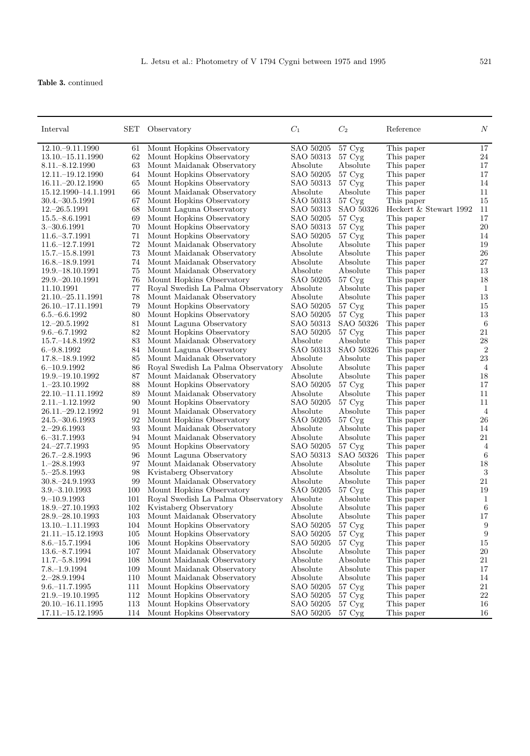**Table 3.** continued

| Interval             | $\operatorname{SET}$ | Observatory                                             | $C_1$                 | C <sub>2</sub>      | Reference                 | $\boldsymbol{N}$  |
|----------------------|----------------------|---------------------------------------------------------|-----------------------|---------------------|---------------------------|-------------------|
| 12.10. - 9.11.1990   | 61                   | Mount Hopkins Observatory                               | SAO 50205             | 57 Cyg              | This paper                | $17\,$            |
| 13.10. $-15.11.1990$ | 62                   | Mount Hopkins Observatory                               | SAO 50313             | $57 \,\mathrm{Cyg}$ | This paper                | $24\,$            |
| $8.11 - 8.12.1990$   | 63                   | Mount Maidanak Observatory                              | Absolute              | Absolute            | This paper                | 17                |
| 12.11. - 19.12.1990  | 64                   | Mount Hopkins Observatory                               | SAO 50205             | 57 Cyg              | This paper                | 17                |
| 16.11. - 20.12.1990  | 65                   | Mount Hopkins Observatory                               | SAO 50313             | $57 \,\mathrm{Cyg}$ | This paper                | 14                |
| 15.12.1990-14.1.1991 | 66                   | Mount Maidanak Observatory                              | Absolute              | Absolute            | This paper                | 11                |
| $30.4 - 30.5.1991$   | 67                   | Mount Hopkins Observatory                               | SAO 50313             | $57 \,\mathrm{Cyg}$ | This paper                | 15                |
| $12 - 26.5.1991$     | 68                   | Mount Laguna Observatory                                | SAO 50313             | SAO 50326           | Heckert $\&$ Stewart 1992 | 11                |
| $15.5 - 8.6.1991$    | 69                   | Mount Hopkins Observatory                               | SAO 50205             | 57 Cyg              | This paper                | 17                |
| $3 - 30.6.1991$      | 70                   | Mount Hopkins Observatory                               | SAO 50313             | 57 Cyg              | This paper                | 20                |
| $11.6 - 3.7.1991$    | 71                   | Mount Hopkins Observatory                               | SAO 50205             | $57 \,\mathrm{Cyg}$ | This paper                | 14                |
| 11.6. - 12.7.1991    | 72                   | Mount Maidanak Observatory                              | Absolute              | Absolute            | This paper                | 19                |
| $15.7 - 15.8.1991$   | 73                   | Mount Maidanak Observatory                              | Absolute              | Absolute            | This paper                | 26                |
| $16.8 - 18.9.1991$   | 74                   | Mount Maidanak Observatory                              | Absolute              | Absolute            | This paper                | 27                |
| 19.9.–18.10.1991     | 75                   | Mount Maidanak Observatory                              | Absolute              | Absolute            | This paper                | 13                |
| 29.9. - 20.10.1991   | 76                   | Mount Hopkins Observatory                               | SAO 50205             | $57 \,\mathrm{Cyg}$ | This paper                | 18                |
| 11.10.1991           | 77                   | Royal Swedish La Palma Observatory                      | Absolute              | Absolute            | This paper                | $\mathbf{1}$      |
| 21.10. - 25.11.1991  | 78                   | Mount Maidanak Observatory                              | Absolute              | Absolute            | This paper                | 13                |
| 26.10. - 17.11.1991  | 79                   | Mount Hopkins Observatory                               | SAO 50205             | $57 \,\mathrm{Cyg}$ | This paper                | 15                |
| $6.5 - 6.6.1992$     | 80                   | Mount Hopkins Observatory                               | SAO 50205             | $57 \,\mathrm{Cyg}$ | This paper                | 13                |
| $12.-20.5.1992$      | 81                   | Mount Laguna Observatory                                | SAO 50313             | SAO 50326           | This paper                | 6                 |
| $9.6 - 6.7.1992$     | 82                   | Mount Hopkins Observatory                               | SAO 50205             | $57 \,\mathrm{Cyg}$ | This paper                | 21                |
| 15.7. - 14.8.1992    | 83                   | Mount Maidanak Observatory                              | Absolute              | Absolute            | This paper                | $\ensuremath{28}$ |
| $6 - 9.8.1992$       | 84                   | Mount Laguna Observatory                                | SAO 50313             | SAO 50326           | This paper                | 2                 |
| 17.8. - 18.9.1992    | 85                   | Mount Maidanak Observatory                              | Absolute              | Absolute            | This paper                | 23                |
| $6 - 10.9.1992$      | 86                   | Royal Swedish La Palma Observatory                      | Absolute              | Absolute            | This paper                | $\overline{4}$    |
| 19.9. - 19.10.1992   | 87                   | Mount Maidanak Observatory                              | Absolute              | Absolute            |                           | 18                |
| $1.-23.10.1992$      | 88                   |                                                         | SAO 50205             | 57 Cyg              | This paper                | 17                |
| 22.10. - 11.11.1992  | 89                   | Mount Hopkins Observatory<br>Mount Maidanak Observatory | Absolute              | Absolute            | This paper                | 11                |
|                      |                      |                                                         |                       |                     | This paper                | 11                |
| 2.11.–1.12.1992      | 90<br>91             | Mount Hopkins Observatory                               | SAO 50205             | $57 \,\mathrm{Cyg}$ | This paper                |                   |
| 26.11. - 29.12.1992  | 92                   | Mount Maidanak Observatory                              | Absolute<br>SAO 50205 | Absolute<br>57 Cyg  | This paper<br>This paper  | 4<br>26           |
| $24.5 - 30.6.1993$   | 93                   | Mount Hopkins Observatory                               |                       |                     |                           |                   |
| $2.-29.6.1993$       | 94                   | Mount Maidanak Observatory                              | Absolute              | Absolute            | This paper                | 14<br>21          |
| $6 - 31.7.1993$      |                      | Mount Maidanak Observatory                              | Absolute              | Absolute            | This paper                |                   |
| 24. - 27. 7. 1993    | 95                   | Mount Hopkins Observatory                               | SAO 50205             | $57 \,\mathrm{Cyg}$ | This paper                | 4                 |
| $26.7 - 2.8.1993$    | 96                   | Mount Laguna Observatory                                | SAO 50313             | SAO 50326           | This paper                | 6                 |
| $1 - 28.8.1993$      | 97                   | Mount Maidanak Observatory                              | Absolute              | Absolute            | This paper                | 18                |
| $5 - 25.8.1993$      | 98                   | Kvistaberg Observatory                                  | Absolute              | Absolute            | This paper                | $\sqrt{3}$        |
| $30.8 - 24.9.1993$   | 99                   | Mount Maidanak Observatory                              | Absolute              | Absolute            | This paper                | 21                |
| $3.9 - 3.10.1993$    | 100                  | Mount Hopkins Observatory                               | SAO 50205             | $57 \,\mathrm{Cyg}$ | This paper                | 19                |
| $9 - 10.9.1993$      | 101                  | Royal Swedish La Palma Observatory                      | Absolute              | Absolute            | This paper                | 1                 |
| 18.9. - 27.10.1993   | 102                  | Kvistaberg Observatory                                  | Absolute              | Absolute            | This paper                | 6                 |
| 28.9. - 28.10.1993   | 103                  | Mount Maidanak Observatory                              | Absolute              | Absolute            | This paper                | 17                |
| 13.10. - 1.11.1993   | 104                  | Mount Hopkins Observatory                               | SAO 50205             | $57 \,\mathrm{Cyg}$ | This paper                | 9                 |
| $21.11 - 15.12.1993$ | 105                  | Mount Hopkins Observatory                               | SAO 50205             | $57 \,\mathrm{Cyg}$ | This paper                | 9                 |
| $8.6 - 15.7.1994$    | 106                  | Mount Hopkins Observatory                               | SAO 50205             | $57 \,\mathrm{Cyg}$ | This paper                | 15                |
| 13.6. - 8.7.1994     | 107                  | Mount Maidanak Observatory                              | Absolute              | Absolute            | This paper                | 20                |
| 11.7. - 5.8.1994     | 108                  | Mount Maidanak Observatory                              | Absolute              | Absolute            | This paper                | 21                |
| $7.8 - 1.9.1994$     | 109                  | Mount Maidanak Observatory                              | Absolute              | Absolute            | This paper                | 17                |
| $2.-28.9.1994$       | 110                  | Mount Maidanak Observatory                              | Absolute              | Absolute            | This paper                | 14                |
| $9.6 - 11.7.1995$    | 111                  | Mount Hopkins Observatory                               | SAO 50205             | $57 \,\mathrm{Cyg}$ | This paper                | 21                |
| 21.9. - 19.10.1995   | 112                  | Mount Hopkins Observatory                               | SAO 50205             | $57 \,\mathrm{Cyg}$ | This paper                | 22                |
| 20.10. - 16.11.1995  | 113                  | Mount Hopkins Observatory                               | SAO 50205             | $57 \,\mathrm{Cyg}$ | This paper                | 16                |
| $17.11 - 15.12.1995$ | 114                  | Mount Hopkins Observatory                               | SAO 50205             | $57 \,\mathrm{Cyg}$ | This paper                | 16                |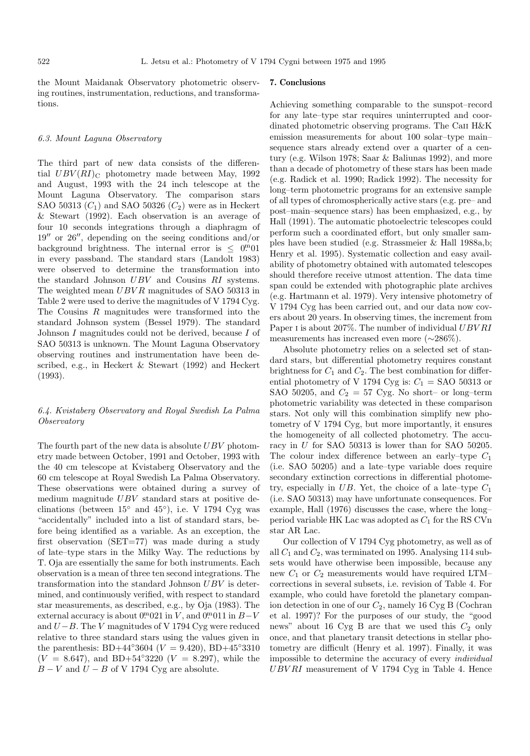the Mount Maidanak Observatory photometric observing routines, instrumentation, reductions, and transformations.

# 6.3. Mount Laguna Observatory

The third part of new data consists of the differential  $UBV(RI)_{\text{C}}$  photometry made between May, 1992 and August, 1993 with the 24 inch telescope at the Mount Laguna Observatory. The comparison stars SAO 50313  $(C_1)$  and SAO 50326  $(C_2)$  were as in Heckert & Stewart (1992). Each observation is an average of four 10 seconds integrations through a diaphragm of  $19''$  or 26", depending on the seeing conditions and/or background brightness. The internal error is  $\leq$  0<sup>m</sup>01 in every passband. The standard stars (Landolt 1983) were observed to determine the transformation into the standard Johnson UBV and Cousins RI systems. The weighted mean  $UBVR$  magnitudes of SAO 50313 in Table 2 were used to derive the magnitudes of V 1794 Cyg. The Cousins R magnitudes were transformed into the standard Johnson system (Bessel 1979). The standard Johnson I magnitudes could not be derived, because I of SAO 50313 is unknown. The Mount Laguna Observatory observing routines and instrumentation have been described, e.g., in Heckert & Stewart (1992) and Heckert (1993).

# 6.4. Kvistaberg Observatory and Royal Swedish La Palma Observatory

The fourth part of the new data is absolute  $UBV$  photometry made between October, 1991 and October, 1993 with the 40 cm telescope at Kvistaberg Observatory and the 60 cm telescope at Royal Swedish La Palma Observatory. These observations were obtained during a survey of medium magnitude UBV standard stars at positive declinations (between  $15°$  and  $45°$ ), i.e. V 1794 Cyg was "accidentally" included into a list of standard stars, before being identified as a variable. As an exception, the first observation (SET=77) was made during a study of late–type stars in the Milky Way. The reductions by T. Oja are essentially the same for both instruments. Each observation is a mean of three ten second integrations. The transformation into the standard Johnson UBV is determined, and continuously verified, with respect to standard star measurements, as described, e.g., by Oja (1983). The external accuracy is about  $0^{m}021$  in V, and  $0^{m}011$  in  $B-V$ and  $U - B$ . The V magnitudes of V 1794 Cyg were reduced relative to three standard stars using the values given in the parenthesis: BD+44<sup>°</sup>3604 ( $V = 9.420$ ), BD+45°3310  $(V = 8.647)$ , and BD+54°3220  $(V = 8.297)$ , while the  $B - V$  and  $U - B$  of V 1794 Cyg are absolute.

## **7. Conclusions**

Achieving something comparable to the sunspot–record for any late–type star requires uninterrupted and coordinated photometric observing programs. The CaII H&K emission measurements for about 100 solar–type main– sequence stars already extend over a quarter of a century (e.g. Wilson 1978; Saar & Baliunas 1992), and more than a decade of photometry of these stars has been made (e.g. Radick et al. 1990; Radick 1992). The necessity for long–term photometric programs for an extensive sample of all types of chromospherically active stars (e.g. pre– and post–main–sequence stars) has been emphasized, e.g., by Hall (1991). The automatic photoelectric telescopes could perform such a coordinated effort, but only smaller samples have been studied (e.g. Strassmeier & Hall 1988a,b; Henry et al. 1995). Systematic collection and easy availability of photometry obtained with automated telescopes should therefore receive utmost attention. The data time span could be extended with photographic plate archives (e.g. Hartmann et al. 1979). Very intensive photometry of V 1794 Cyg has been carried out, and our data now covers about 20 years. In observing times, the increment from Paper I is about 207%. The number of individual  $UBVRI$ measurements has increased even more (∼286%).

Absolute photometry relies on a selected set of standard stars, but differential photometry requires constant brightness for  $C_1$  and  $C_2$ . The best combination for differential photometry of V 1794 Cyg is:  $C_1 =$  SAO 50313 or SAO 50205, and  $C_2 = 57 \text{ Cyg}$ . No short– or long–term photometric variability was detected in these comparison stars. Not only will this combination simplify new photometry of V 1794 Cyg, but more importantly, it ensures the homogeneity of all collected photometry. The accuracy in U for SAO 50313 is lower than for SAO 50205. The colour index difference between an early–type  $C_1$ (i.e. SAO 50205) and a late–type variable does require secondary extinction corrections in differential photometry, especially in UB. Yet, the choice of a late–type  $C_1$ (i.e. SAO 50313) may have unfortunate consequences. For example, Hall (1976) discusses the case, where the long– period variable HK Lac was adopted as  $C_1$  for the RS CVn star AR Lac.

Our collection of V 1794 Cyg photometry, as well as of all  $C_1$  and  $C_2$ , was terminated on 1995. Analysing 114 subsets would have otherwise been impossible, because any new  $C_1$  or  $C_2$  measurements would have required LTM– corrections in several subsets, i.e. revision of Table 4. For example, who could have foretold the planetary companion detection in one of our  $C_2$ , namely 16 Cyg B (Cochran et al. 1997)? For the purposes of our study, the "good news" about 16 Cyg B are that we used this  $C_2$  only once, and that planetary transit detections in stellar photometry are difficult (Henry et al. 1997). Finally, it was impossible to determine the accuracy of every individual UBV RI measurement of V 1794 Cyg in Table 4. Hence